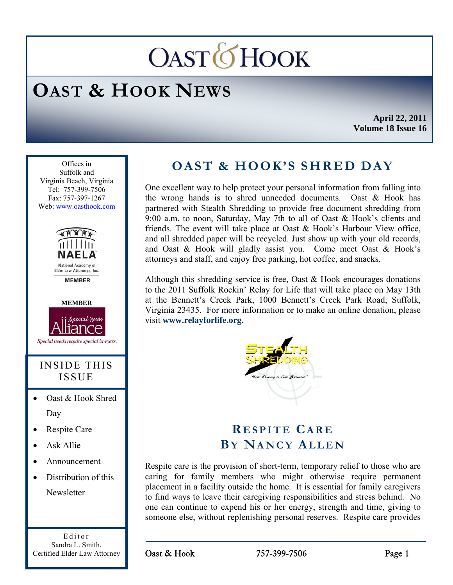# **OASTOHOOK**

## **OAST & HOOK NEWS**

**April 22, 2011 Volume 18 Issue 16** 

Ī Offices in Suffolk and Virginia Beach, Virginia Tel: 757-399-7506 Fax: 757-397-1267 Web: www.oasthook.com



Elder Law Attorneys, Inc.





*i Special needs* Special needs require special lawyers.

## INSIDE THIS ISSUE

- Oast & Hook Shred Day
- Respite Care
- Ask Allie
- Announcement
- Distribution of this **Newsletter**

Editor Sandra L. Smith, Certified Elder Law Attorney

## **OAST & HOOK'S SHRED DAY**

One excellent way to help protect your personal information from falling into the wrong hands is to shred unneeded documents. Oast & Hook has partnered with Stealth Shredding to provide free document shredding from 9:00 a.m. to noon, Saturday, May 7th to all of Oast & Hook's clients and friends. The event will take place at Oast & Hook's Harbour View office, and all shredded paper will be recycled. Just show up with your old records, and Oast & Hook will gladly assist you. Come meet Oast & Hook's attorneys and staff, and enjoy free parking, hot coffee, and snacks.

Although this shredding service is free, Oast  $\&$  Hook encourages donations to the 2011 Suffolk Rockin' Relay for Life that will take place on May 13th at the Bennett's Creek Park, 1000 Bennett's Creek Park Road, Suffolk, Virginia 23435. For more information or to make an online donation, please visit **www.relayforlife.org**.



## **R ESPITE CARE BY NANCY ALLEN**

Respite care is the provision of short-term, temporary relief to those who are caring for family members who might otherwise require permanent placement in a facility outside the home. It is essential for family caregivers to find ways to leave their caregiving responsibilities and stress behind. No one can continue to expend his or her energy, strength and time, giving to someone else, without replenishing personal reserves. Respite care provides

Oast & Hook 757-399-7506 Page 1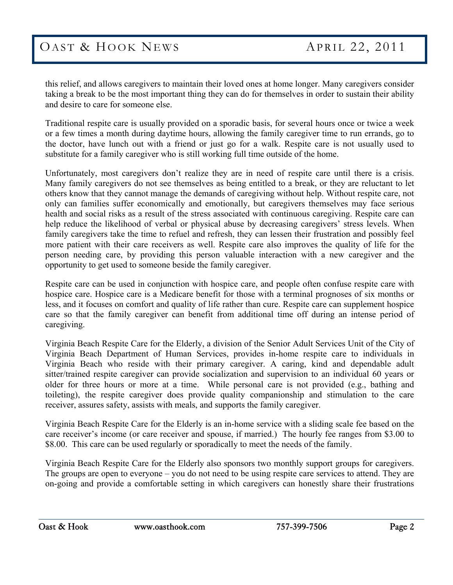this relief, and allows caregivers to maintain their loved ones at home longer. Many caregivers consider taking a break to be the most important thing they can do for themselves in order to sustain their ability and desire to care for someone else.

Traditional respite care is usually provided on a sporadic basis, for several hours once or twice a week or a few times a month during daytime hours, allowing the family caregiver time to run errands, go to the doctor, have lunch out with a friend or just go for a walk. Respite care is not usually used to substitute for a family caregiver who is still working full time outside of the home.

Unfortunately, most caregivers don't realize they are in need of respite care until there is a crisis. Many family caregivers do not see themselves as being entitled to a break, or they are reluctant to let others know that they cannot manage the demands of caregiving without help. Without respite care, not only can families suffer economically and emotionally, but caregivers themselves may face serious health and social risks as a result of the stress associated with continuous caregiving. Respite care can help reduce the likelihood of verbal or physical abuse by decreasing caregivers' stress levels. When family caregivers take the time to refuel and refresh, they can lessen their frustration and possibly feel more patient with their care receivers as well. Respite care also improves the quality of life for the person needing care, by providing this person valuable interaction with a new caregiver and the opportunity to get used to someone beside the family caregiver.

Respite care can be used in conjunction with hospice care, and people often confuse respite care with hospice care. Hospice care is a Medicare benefit for those with a terminal prognoses of six months or less, and it focuses on comfort and quality of life rather than cure. Respite care can supplement hospice care so that the family caregiver can benefit from additional time off during an intense period of caregiving.

Virginia Beach Respite Care for the Elderly, a division of the Senior Adult Services Unit of the City of Virginia Beach Department of Human Services, provides in-home respite care to individuals in Virginia Beach who reside with their primary caregiver. A caring, kind and dependable adult sitter/trained respite caregiver can provide socialization and supervision to an individual 60 years or older for three hours or more at a time. While personal care is not provided (e.g., bathing and toileting), the respite caregiver does provide quality companionship and stimulation to the care receiver, assures safety, assists with meals, and supports the family caregiver.

Virginia Beach Respite Care for the Elderly is an in-home service with a sliding scale fee based on the care receiver's income (or care receiver and spouse, if married.) The hourly fee ranges from \$3.00 to \$8.00. This care can be used regularly or sporadically to meet the needs of the family.

Virginia Beach Respite Care for the Elderly also sponsors two monthly support groups for caregivers. The groups are open to everyone – you do not need to be using respite care services to attend. They are on-going and provide a comfortable setting in which caregivers can honestly share their frustrations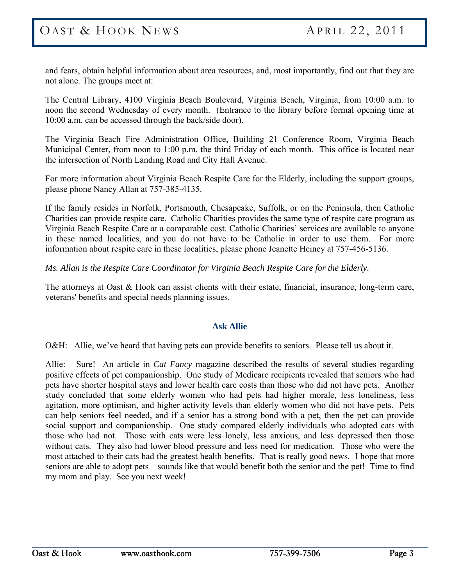and fears, obtain helpful information about area resources, and, most importantly, find out that they are not alone. The groups meet at:

The Central Library, 4100 Virginia Beach Boulevard, Virginia Beach, Virginia, from 10:00 a.m. to noon the second Wednesday of every month. (Entrance to the library before formal opening time at 10:00 a.m. can be accessed through the back/side door).

The Virginia Beach Fire Administration Office, Building 21 Conference Room, Virginia Beach Municipal Center, from noon to 1:00 p.m. the third Friday of each month. This office is located near the intersection of North Landing Road and City Hall Avenue.

For more information about Virginia Beach Respite Care for the Elderly, including the support groups, please phone Nancy Allan at 757-385-4135.

If the family resides in Norfolk, Portsmouth, Chesapeake, Suffolk, or on the Peninsula, then Catholic Charities can provide respite care. Catholic Charities provides the same type of respite care program as Virginia Beach Respite Care at a comparable cost. Catholic Charities' services are available to anyone in these named localities, and you do not have to be Catholic in order to use them. For more information about respite care in these localities, please phone Jeanette Heiney at 757-456-5136.

*Ms. Allan is the Respite Care Coordinator for Virginia Beach Respite Care for the Elderly.* 

The attorneys at Oast & Hook can assist clients with their estate, financial, insurance, long-term care, veterans' benefits and special needs planning issues.

### **Ask Allie**

O&H: Allie, we've heard that having pets can provide benefits to seniors. Please tell us about it.

Allie: Sure! An article in *Cat Fancy* magazine described the results of several studies regarding positive effects of pet companionship. One study of Medicare recipients revealed that seniors who had pets have shorter hospital stays and lower health care costs than those who did not have pets. Another study concluded that some elderly women who had pets had higher morale, less loneliness, less agitation, more optimism, and higher activity levels than elderly women who did not have pets. Pets can help seniors feel needed, and if a senior has a strong bond with a pet, then the pet can provide social support and companionship. One study compared elderly individuals who adopted cats with those who had not. Those with cats were less lonely, less anxious, and less depressed then those without cats. They also had lower blood pressure and less need for medication. Those who were the most attached to their cats had the greatest health benefits. That is really good news. I hope that more seniors are able to adopt pets – sounds like that would benefit both the senior and the pet! Time to find my mom and play. See you next week!